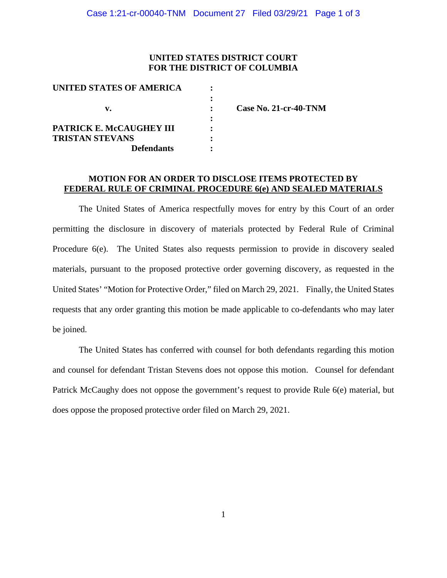## **UNITED STATES DISTRICT COURT FOR THE DISTRICT OF COLUMBIA**

| UNITED STATES OF AMERICA |                              |
|--------------------------|------------------------------|
|                          |                              |
| v.                       | <b>Case No. 21-cr-40-TNM</b> |
|                          |                              |
| PATRICK E. McCAUGHEY III |                              |
| <b>TRISTAN STEVANS</b>   |                              |
| <b>Defendants</b>        |                              |

## **MOTION FOR AN ORDER TO DISCLOSE ITEMS PROTECTED BY FEDERAL RULE OF CRIMINAL PROCEDURE 6(e) AND SEALED MATERIALS**

The United States of America respectfully moves for entry by this Court of an order permitting the disclosure in discovery of materials protected by Federal Rule of Criminal Procedure 6(e). The United States also requests permission to provide in discovery sealed materials, pursuant to the proposed protective order governing discovery, as requested in the United States' "Motion for Protective Order," filed on March 29, 2021. Finally, the United States requests that any order granting this motion be made applicable to co-defendants who may later be joined.

The United States has conferred with counsel for both defendants regarding this motion and counsel for defendant Tristan Stevens does not oppose this motion. Counsel for defendant Patrick McCaughy does not oppose the government's request to provide Rule 6(e) material, but does oppose the proposed protective order filed on March 29, 2021.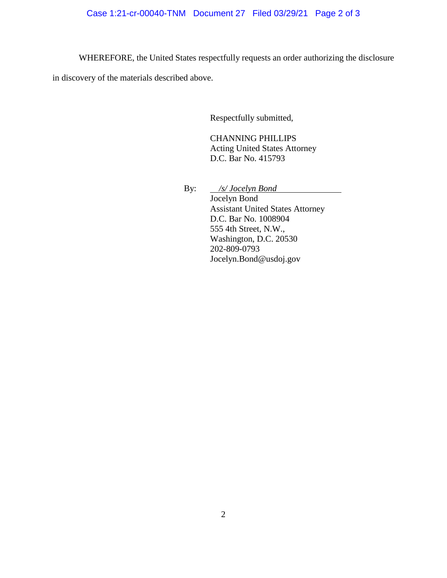WHEREFORE, the United States respectfully requests an order authorizing the disclosure

in discovery of the materials described above.

Respectfully submitted,

CHANNING PHILLIPS Acting United States Attorney D.C. Bar No. 415793

By: */s/ Jocelyn Bond* Jocelyn Bond Assistant United States Attorney D.C. Bar No. 1008904 555 4th Street, N.W., Washington, D.C. 20530 202-809-0793 Jocelyn.Bond@usdoj.gov